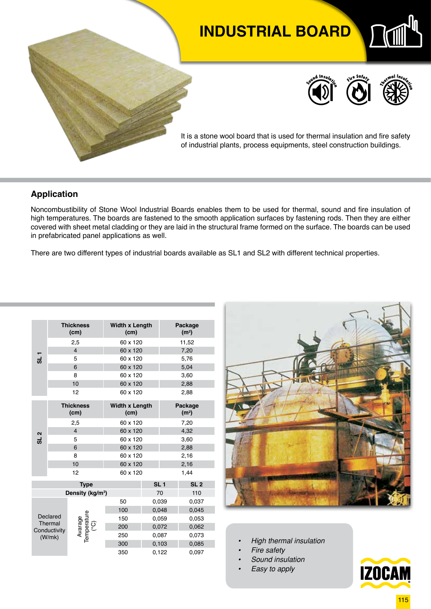# **INDUSTRIAL BOARD**







It is a stone wool board that is used for thermal insulation and fire safety of industrial plants, process equipments, steel construction buildings.

#### **Application**

Noncombustibility of Stone Wool Industrial Boards enables them to be used for thermal, sound and fire insulation of high temperatures. The boards are fastened to the smooth application surfaces by fastening rods. Then they are either covered with sheet metal cladding or they are laid in the structural frame formed on the surface. The boards can be used in prefabricated panel applications as well.

There are two different types of industrial boards available as SL1 and SL2 with different technical properties.

| $-18$                                         |  | <b>Thickness</b><br>(cm)                  | <b>Width x Length</b><br>(cm) |                 | Package<br>(m <sup>2</sup> ) |  |  |
|-----------------------------------------------|--|-------------------------------------------|-------------------------------|-----------------|------------------------------|--|--|
|                                               |  | 2,5                                       | 60 x 120                      |                 | 11,52                        |  |  |
|                                               |  | $\overline{4}$                            | 60 x 120                      |                 | 7,20                         |  |  |
|                                               |  | 5                                         | 60 x 120                      |                 | 5,76                         |  |  |
|                                               |  | 6                                         | 60 x 120                      |                 | 5,04                         |  |  |
|                                               |  | 8                                         | 60 x 120                      |                 | 3,60                         |  |  |
|                                               |  | 10                                        | 60 x 120                      |                 | 2,88                         |  |  |
|                                               |  | 12                                        | 60 x 120                      |                 | 2,88                         |  |  |
|                                               |  | <b>Thickness</b><br>(cm)                  | <b>Width x Length</b><br>(cm) |                 | Package<br>(m <sup>2</sup> ) |  |  |
|                                               |  | 2,5                                       | 60 x 120                      |                 | 7,20                         |  |  |
|                                               |  | $\overline{4}$                            | 60 x 120                      |                 | 4,32                         |  |  |
| SL <sub>2</sub>                               |  | 5                                         | 60 x 120                      |                 | 3,60                         |  |  |
|                                               |  | 6                                         | 60 x 120                      |                 | 2,88                         |  |  |
|                                               |  | 8                                         | 60 x 120                      |                 | 2,16                         |  |  |
|                                               |  | 10                                        | 60 x 120                      |                 | 2,16                         |  |  |
|                                               |  | 12                                        | 60 x 120                      |                 | 1,44                         |  |  |
|                                               |  | <b>Type</b>                               |                               | SL <sub>1</sub> | SL <sub>2</sub>              |  |  |
|                                               |  | Density (kg/m <sup>3</sup> )              |                               | 70              | 110                          |  |  |
| Declared<br>Thermal<br>Conductivity<br>(W/mk) |  |                                           | 50                            | 0,039           | 0,037                        |  |  |
|                                               |  |                                           | 100                           | 0,048           | 0,045                        |  |  |
|                                               |  | Avarage<br>Temperature<br><sup>(°C)</sup> | 150                           | 0,059           | 0,053                        |  |  |
|                                               |  |                                           | 200                           | 0,072           | 0,062                        |  |  |
|                                               |  |                                           | 250                           | 0,087           | 0,073                        |  |  |
|                                               |  |                                           | 300                           | 0,103           | 0,085                        |  |  |
|                                               |  |                                           | 350                           | 0,122           | 0,097                        |  |  |



- *• High thermal insulation*
- *• Fire safety*
- *• Sound insulation*
- *• Easy to apply*